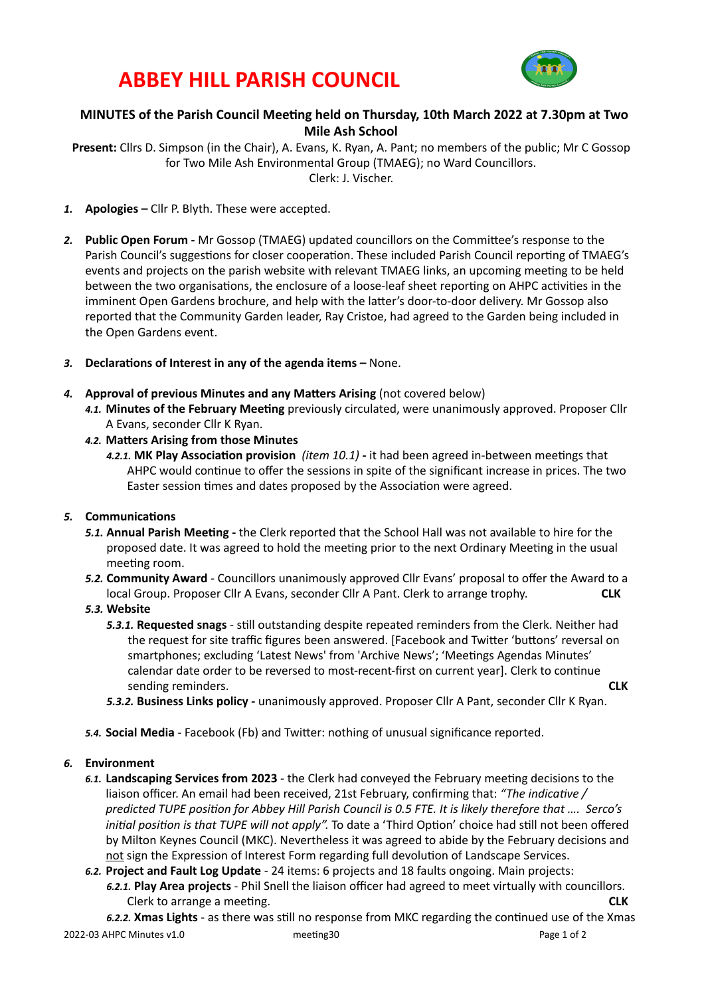## **ABBEY HILL PARISH COUNCIL**



## **MINUTES** of the Parish Council Meeting held on Thursday, 10th March 2022 at 7.30pm at Two **Mile Ash School**

**Present:** Cllrs D. Simpson (in the Chair), A. Evans, K. Ryan, A. Pant; no members of the public; Mr C Gossop for Two Mile Ash Environmental Group (TMAEG); no Ward Councillors. Clerk: J. Vischer. 

- 1. **Apologies** Cllr P. Blyth. These were accepted.
- 2. Public Open Forum Mr Gossop (TMAEG) updated councillors on the Committee's response to the Parish Council's suggestions for closer cooperation. These included Parish Council reporting of TMAEG's events and projects on the parish website with relevant TMAEG links, an upcoming meeting to be held between the two organisations, the enclosure of a loose-leaf sheet reporting on AHPC activities in the imminent Open Gardens brochure, and help with the latter's door-to-door delivery. Mr Gossop also reported that the Community Garden leader, Ray Cristoe, had agreed to the Garden being included in the Open Gardens event.
- 3. **Declarations of Interest in any of the agenda items None.**
- 4. **Approval of previous Minutes and any Matters Arising** (not covered below)
	- 4.1. Minutes of the February Meeting previously circulated, were unanimously approved. Proposer Cllr A Evans, seconder Cllr K Ryan.
	- 4.2. Matters Arising from those Minutes
		- 4.2.1. MK Play Association provision (item 10.1) it had been agreed in-between meetings that AHPC would continue to offer the sessions in spite of the significant increase in prices. The two Easter session times and dates proposed by the Association were agreed.

## **5.** Communications

- 5.1. **Annual Parish Meeting** the Clerk reported that the School Hall was not available to hire for the proposed date. It was agreed to hold the meeting prior to the next Ordinary Meeting in the usual meeting room.
- **5.2. Community Award** Councillors unanimously approved Cllr Evans' proposal to offer the Award to a local Group. Proposer Cllr A Evans, seconder Cllr A Pant. Clerk to arrange trophy. **CLK**
- 5.3. Website
	- **5.3.1. Requested snags** still outstanding despite repeated reminders from the Clerk. Neither had the request for site traffic figures been answered. [Facebook and Twitter 'buttons' reversal on smartphones; excluding 'Latest News' from 'Archive News'; 'Meetings Agendas Minutes' calendar date order to be reversed to most-recent-first on current vearl. Clerk to continue sending reminders. **CLK**
	- 5.3.2. Business Links policy unanimously approved. Proposer Cllr A Pant, seconder Cllr K Ryan.
- 5.4. Social Media Facebook (Fb) and Twitter: nothing of unusual significance reported.

#### *6.* **Environment**

- 6.1. Landscaping Services from 2023 the Clerk had conveyed the February meeting decisions to the liaison officer. An email had been received, 21st February, confirming that: "The indicative / predicted TUPE position for Abbey Hill Parish Council is 0.5 FTE. It is likely therefore that .... Serco's *initial position is that TUPE will not apply".* To date a 'Third Option' choice had still not been offered by Milton Keynes Council (MKC). Nevertheless it was agreed to abide by the February decisions and not sign the Expression of Interest Form regarding full devolution of Landscape Services.
- 6.2. Project and Fault Log Update 24 items: 6 projects and 18 faults ongoing. Main projects: 6.2.1. Play Area projects - Phil Snell the liaison officer had agreed to meet virtually with councillors. Clerk to arrange a meeting. **CLK**

6.2.2. **Xmas Lights** - as there was still no response from MKC regarding the continued use of the Xmas